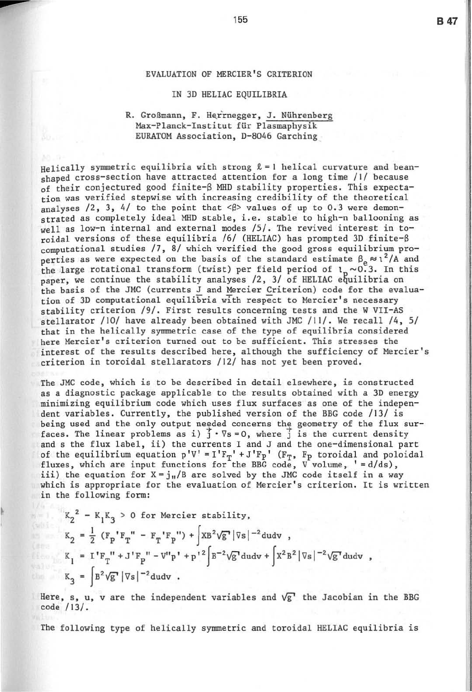## EVALUATION OF MERCIER'S CRITERION

## IN 3D HELIAC EQUILIBRIA

## R. Großmann, F. Herrnegger, J. Nührenberg Max-Planck-Institut für Plasmaphysik EURATOM Association, D-8046 Garching

Helically symmetric equilibria with strong  $\ell = 1$  helical curvature and beanshaped cross-section have attracted attention for a long time  $/1/$  because of their conjectured good finite-S MHD stability properties. This expectation was verified stepwise with increasing credibility of the theoretical analyses  $/2$ , 3, 4/ to the point that  $\langle \beta \rangle$  values of up to 0.3 were demonstrated as completely ideal MHD stable, i.e. stable to high-n ballooning as well as low-n internal and external modes /5/. The revived interest in toroidal versions of these equilibria /6/ (HELIAC) has prompted 3D finite- $\beta$ computational studies  $/7$ ,  $8/$  which verified the good gross equilibrium properties as were expected on the basis of the standard estimate  $\beta_e \approx 1^2/A$  and the large rotational transform (twist) per field period of  $1_n \sim 0.3$ . In this paper, we continue the stability analyses  $/2$ ,  $3/$  of HELIAC equilibria on the basis of the JMC (currents J and Mercier Criterion) code for the evaluation of 3D computational equilibria wIth respect to Mercier's necessary stability criterion /9/ . First results concerning tests and the W VII-AS stellarator / 10/ have already been obtained with JMC / 11/ . We recall /4, 5/ that in the helically symmetric case of the type of equilibria considered here Mercier's criterion turned out to be sufficient. This stresses the interest of the results described here, although the sufficiency of Mercier's criterion in toroidal stellarators /12/ has not yet been proved.

The JMC code, which is to be described in detail elsewhere , is constructed as a diagnostic package applicable to the results obtained with a 3D energy minimizing equilibrium code which uses flux surfaces as one of the independent variables. Currently, the published version of the BBG code /13/ is being used and the only output needed concerns the geometry of the flux surfaces. The linear problems as i)  $\overline{j} \cdot \nabla s = 0$ , where  $\overline{j}$  is the current density and s the flux label, ii) the currents I and J and the one-dimensional part of the equilibrium equation  $p'V' = I'F_T' + J'F_P'$  ( $F_T$ ,  $F_p$  toroidal and poloidal fluxes, which are input functions for the BBG code,  $V$  volume, '=d/ds), iii) the equation for  $X = j_{\text{H}}/B$  are solved by the JMC code itself in a way which is appropriate for the evaluation of Mercier's criterion. It is written in the following form:

$$
K_2^2 - K_1 K_3 > 0 \text{ for Mercier stability,}
$$
  
\n
$$
K_2 = \frac{1}{2} (F_p' F_T'' - F_T' F_P'') + \int X B^2 \sqrt{g} |\nabla s|^{-2} du dv ,
$$
  
\n
$$
K_1 = I' F_T'' + J' F_P'' - V'' p' + p'{}^2 \int B^{-2} \sqrt{g} du dv + \int X^2 B^2 |\nabla s|^{-2} \sqrt{g} du dv ,
$$
  
\n
$$
K_3 = \int B^2 \sqrt{g} |\nabla s|^{-2} du dv .
$$

Here, s, u, v are the independent variables and  $\sqrt{g}$  the Jacobian in the BBG code /13/ .

The following type of helically symmetric and toroidal HELIAC equilibria is

**B47** 

--

i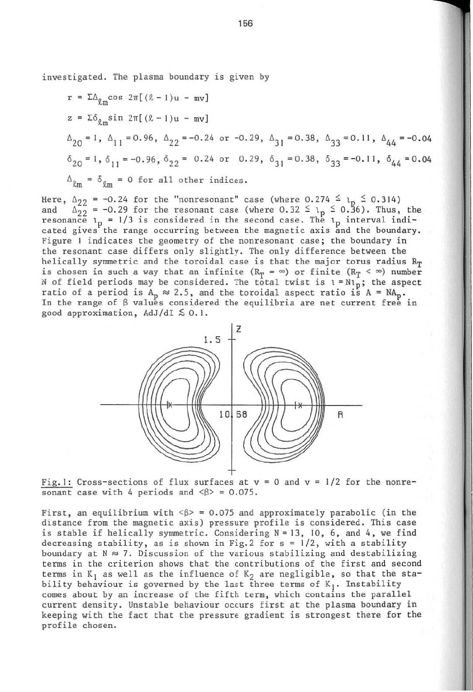investigated. The plasma boundary is given by

$$
r = ΣΔl,mcos 2π[(l - 1)u - mv]
$$
  
\nz = Σδ<sub>l,m</sub>sin 2π[(l - 1)u - mv]  
\nΔ<sub>20</sub> = 1, Δ<sub>11</sub> = 0.96, Δ<sub>22</sub> = -0.24 or -0.29, Δ<sub>31</sub> = 0.38, Δ<sub>33</sub> = 0.11, Δ<sub>44</sub> = -0.04  
\nδ<sub>20</sub> = 1, δ<sub>11</sub> = -0.96, δ<sub>22</sub> = 0.24 or 0.29, δ<sub>31</sub> = 0.38, δ<sub>33</sub> = -0.11, δ<sub>44</sub> = 0.04  
\nΔ<sub>lm</sub> = δ<sub>lm</sub> = 0 for all other indices.

Here,  $\Delta_{22} = -0.24$  for the "nonresonant" case (where 0.274  $\leq$  1  $\leq$  0.314) and  $\Delta_{22} = -0.29$  for the resonant case (where 0.32  $\leq$  1  $\leq$  0.36). Thus,  $\Delta_{22}^{22}$  = -0.29 for the resonant case (where 0.32  $\leq \lambda_p \leq 0.56$ ). Thus, the resonance  $l_p = 1/3$  is considered in the second case. The  $l_p$  interval indicated gives the range occurring between the magnetic axis and the boundary. Figure 1 indicates the geometry of the nonresonant case; the boundary in the resonant case differs only slightly. The only difference between the helically symmetric and the toroidal case is that the major torus radius  $R_T$ is chosen in such a way that an infinite ( $R_T = \infty$ ) or finite ( $R_T < \infty$ ) number N of field periods may be considered. The total twist is  $t = Nl_p$ ; the aspect ratio of a period is  $A_p \approx 2.5$ , and the toroidal aspect ratio is  $A = NA_p$ . In the range of  $\beta$  values considered the equilibria are net current free in good approximation,  $AdJ/dI \lesssim 0.1$ .



 $rac{Fig.1:}{$  Cross-sections of flux surfaces at  $v = 0$  and  $v = 1/2$  for the nonresonant case with 4 periods and  $\langle \beta \rangle = 0.075$ .

First, an equilibrium with  $\langle \beta \rangle = 0.075$  and approximately parabolic (in the distance from the magnetic axis) pressure profile is considered. This case is stable if helically symmetric. Considering  $N = 13$ , 10, 6, and 4, we find decreasing stability, as is shown in Fig. 2 for  $s = 1/2$ , with a stability boundary at  $N \approx 7$ . Discussion of the various stabilizing and destabilizing terms in the criterion shows that the contributions of the first and second terms in  $K_1$  as well as the influence of  $K_2$  are negligible, so that the stability behaviour is governed by the last three terms of  $K_1$ . Instability comes about by an increase of the fifth term, which contains the parallel current density. Unstable behaviour occurs first at the plasma boundary in keeping with the fact that the pressure gradient is strongest there for the profile chosen .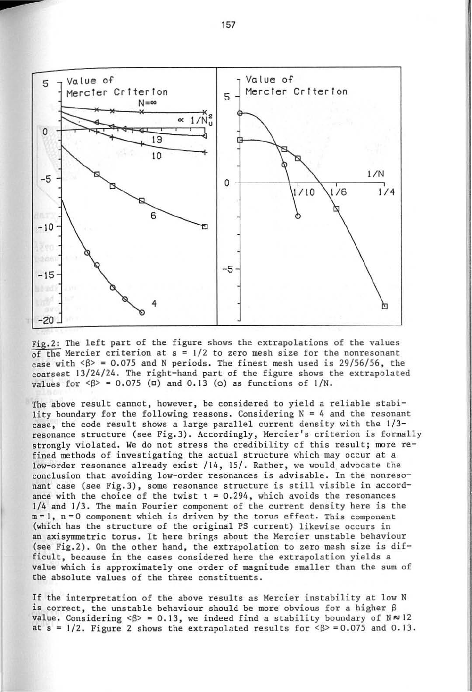

Fig.2: The left part of the figure shows the extrapolations of the values  $\overline{of}$  the Mercier criterion at  $s = 1/2$  to zero mesh size for the nonresonant case with  $\langle 8 \rangle$  = 0.075 and N periods. The finest mesh used is 29/56/56, the coarsest 13/24/24 . The right-hand part of the figure shows the extrapolated values for  $\langle \beta \rangle = 0.075$  ( $\Box$ ) and 0.13 (o) as functions of  $1/N$ .

The above result cannot, however, be considered to yield a reliable stability boundary for the following reasons. Considering  $N = 4$  and the resonant case, the code result shows a large parallel current density with the 1/3 resonance structure (see Fig.3). Accordingly, Mercier's criterion is formally strongly violated. We do not stress the credibility of this result: more refined methods of investigating the actual structure which may occur at a low-order resonance already exist /14, 15/. Rather, we would advocate the conclusion that avoiding low-order resonances is advisable. In the nonresonant case (see Fig.3) , some resonance structure is still visible in accordance with the choice of the twist  $1 = 0.294$ , which avoids the resonances 1/4 and 1/3. The main Fourier component of the current density here is the m=1, n=0 component which is driven by the torus effect. This component (which has the structure of the original PS current) likewise occurs in an axisymmetric torus. It here brings about the Mercier unstable behaviour (see Fig.2). On the other hand, the extrapolation to zero mesh size is  $dif$ ficult, because in the cases considered here the extrapolation yields a value which is approximately one order of magnitude smaller than the sum of the absolute values of the three constituents.

If the interpretation of the above results as Mercier instability at low N is correct, the unstable behaviour should be more obvious for a higher  $\beta$ value. Considering  $\langle \beta \rangle = 0.13$ , we indeed find a stability boundary of  $N \approx 12$ at  $s = 1/2$ . Figure 2 shows the extrapolated results for  $\langle \beta \rangle = 0.075$  and 0.13.